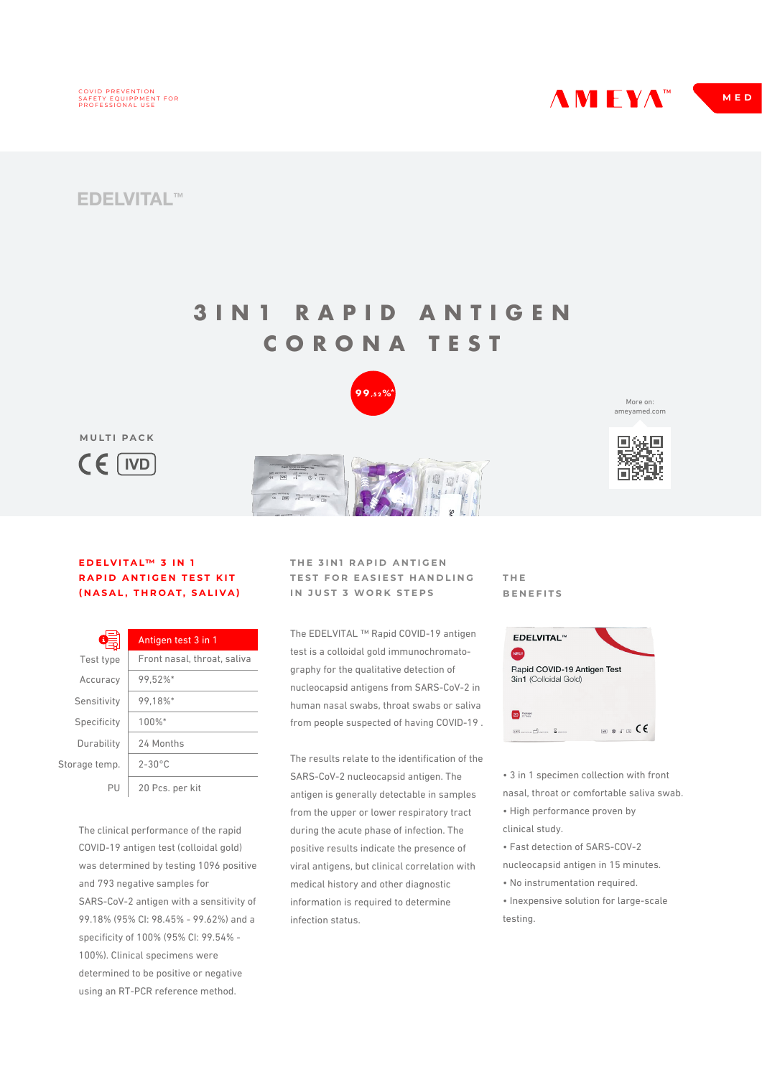

**AMEYAM** MED

## **EDELVITAL™**

**MULTI PACK**

**IVD**

## **3IN1 RAPID ANTIGEN CORONA TEST**



More on: ameyamed.com



## **EDELVITAL™ 3 IN 1 RAPID ANTIGEN TEST KIT (NASAL, THROAT, SALIVA)**

| 63            | Antigen test 3 in 1         |
|---------------|-----------------------------|
| Test type     | Front nasal, throat, saliva |
| Accuracy      | 99.52%*                     |
| Sensitivity   | 99.18%*                     |
| Specificity   | 100%*                       |
| Durability    | 24 Months                   |
| Storage temp. | $2 - 30^{\circ}$ C          |
| ΡU            | 20 Pcs. per kit             |

The clinical performance of the rapid COVID-19 antigen test (colloidal gold) was determined by testing 1096 positive and 793 negative samples for SARS-CoV-2 antigen with a sensitivity of 99.18% (95% CI: 98.45% - 99.62%) and a specificity of 100% (95% CI: 99.54% - 100%). Clinical specimens were determined to be positive or negative using an RT-PCR reference method.

**THE 3IN1 RAPID ANTIGEN TEST FOR EASIEST HANDLING IN JUST 3 WORK STEPS**

The EDELVITAL ™ Rapid COVID-19 antigen test is a colloidal gold immunochromatography for the qualitative detection of nucleocapsid antigens from SARS-CoV-2 in human nasal swabs, throat swabs or saliva from people suspected of having COVID-19 .

The results relate to the identification of the SARS-CoV-2 nucleocapsid antigen. The antigen is generally detectable in samples from the upper or lower respiratory tract during the acute phase of infection. The positive results indicate the presence of viral antigens, but clinical correlation with medical history and other diagnostic information is required to determine infection status.

**THE BENEFITS**



• 3 in 1 specimen collection with front nasal, throat or comfortable saliva swab.

- High performance proven by clinical study.
- Fast detection of SARS-COV-2 nucleocapsid antigen in 15 minutes.
- No instrumentation required.
- Inexpensive solution for large-scale testing.